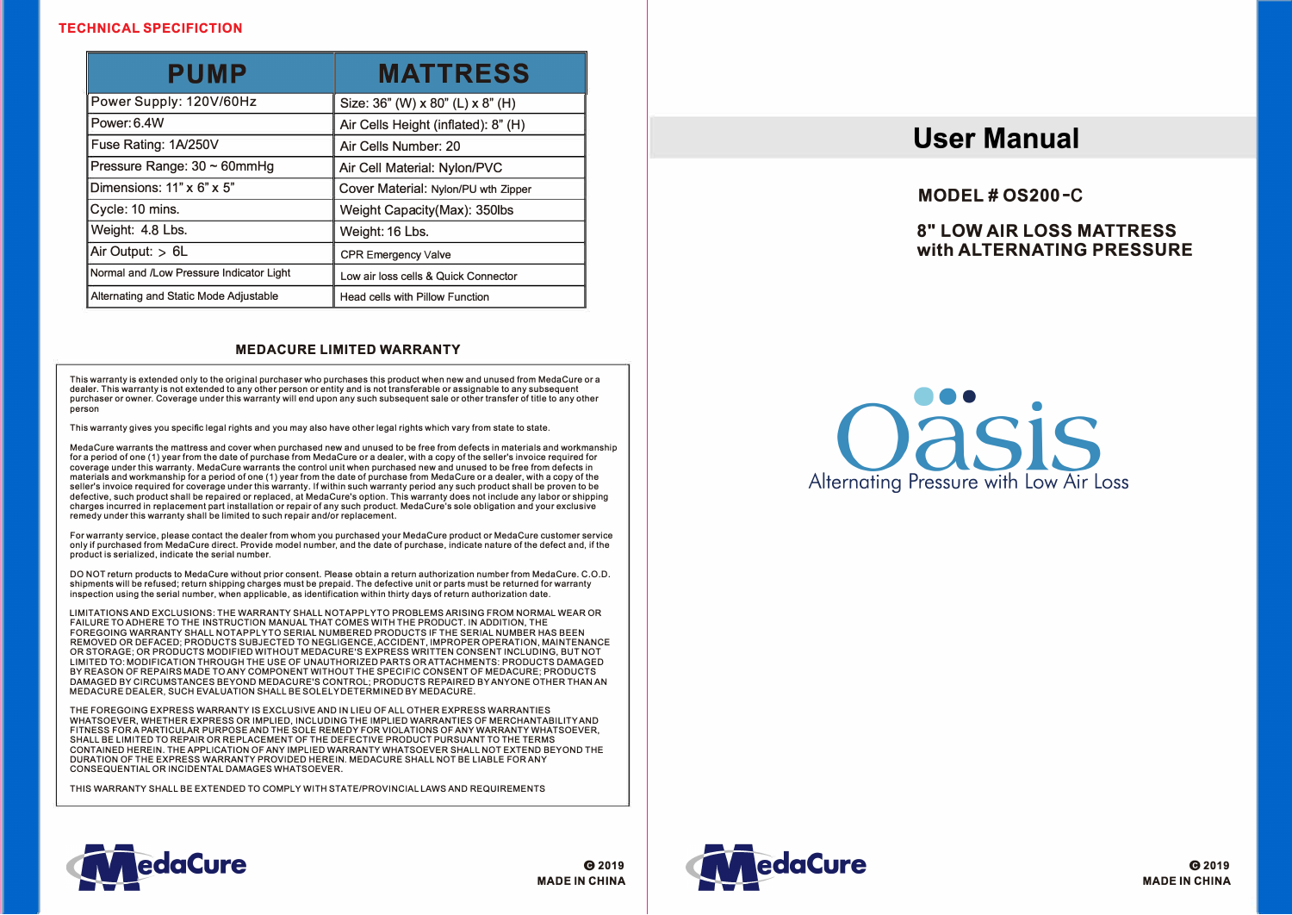# **TECHNICAL SPECIFICTION**

| PUMP                                     | <b>MATTRESS</b>                      |
|------------------------------------------|--------------------------------------|
| Power Supply: 120V/60Hz                  | Size: 36" (W) x 80" (L) x 8" (H)     |
| Power: 6.4W                              | Air Cells Height (inflated): 8" (H)  |
| Fuse Rating: 1A/250V                     | Air Cells Number: 20                 |
| Pressure Range: 30 ~ 60mmHg              | Air Cell Material: Nylon/PVC         |
| Dimensions: $11" \times 6" \times 5"$    | Cover Material: Nylon/PU wth Zipper  |
| Cycle: 10 mins.                          | Weight Capacity (Max): 350lbs        |
| Weight: 4.8 Lbs.                         | Weight: 16 Lbs.                      |
| Air Output: $> 6L$                       | <b>CPR Emergency Valve</b>           |
| Normal and /Low Pressure Indicator Light | Low air loss cells & Quick Connector |
| Alternating and Static Mode Adjustable   | Head cells with Pillow Function      |

# **MEDACURE LIMITED WARRANTY**

**This warranty is extended only to the original purchaser who purchases this product when new and unused from MedaCure or a dealer. This warranty is not extended to any other person or entity and is not transferable or assignable to any subsequent purchaser or owner. Coverage under this warranty will end upon any such subsequent sale or other transfer of title to any other person** 

**This warranty gives you specific legal rights and you may also have other legal rights which vary from state to state.** 

**Meda Cure warrants the mattress and cover when purchased new and unused to be free from defects in materials and workmanship**  for a period of one (1) year from the date of purchase from MedaCure or a dealer, with a copy of the seller's invoice required for **coverage under this warranty. Meda Cure warrants the control unit when purchased new and unused to be free from defects in materials and workmanship for a period of one (1) year from the date of purchase from MedaCure or a dealer, with a copy of the seller's invoice required for coverage under this warranty. If within such warranty period any such product shall be proven to be defective. such product shall be repaired or replaced. at MedaCure's option. This warranty does not include any labor or shipping charges incurred in replacement part installation or repair of any such product. Meda Cu re's sole obligation and your exclusive remedy under this warranty shall be limited to such repair and/or replacement.** 

**For warranty service, please contact the dealer from whom you purchased your MedaCure product or Meda Cure customer service only if purchased from Meda Cure direct. Provide model number, and the date of purchase, indicate nature of the defect and, if the product is serialized, indicate the serial number.** 

**DO NOT return products to Meda Cure without prior consent. Please obtain a return authorization number from MedaCure. C.O.D. shipments will be refused; return shipping charges must be prepaid. The defective unit or parts must be returned for warranty inspection using the serial number, when applicable, as identification within thirty days of return authorization date.** 

**LIMITATIONS AND EXCLUSIONS: THE WARRANTY SHALL NOTAPPLYTO PROBLEMS ARISING FROM NORMAL WEAR OR FAILURE TO ADHERE TO THE INSTRUCTION MANUAL THAT COMES WITH THE PRODUCT. IN ADDITION. THE FOREGOING WARRANTY SHALL NOTAPPLYTO SERIAL NUMBERED PRODUCTS IF THE SERIAL NUMBER HAS BEEN REMOVED OR DEFACED; PRODUCTS SUBJECTED TO NEGLIGENCE. ACCIDENT. IMPROPER OPERATION, MAINTENANCE OR STORAGE; OR PRODUCTS MODIFIED WITHOUT MEDACURE"S EXPRESS WRITTEN CONSENT INCLUDING. BUT NOT LIMITED TO: MODIFICATION THROUGH THE USE OF UNAUTHORIZED PARTS OR ATTACHMENTS: PRODUCTS DAMAGED BY REASON OF REPAIRS MADE TO ANY COMPONENT WITHOUT THE SPECIFIC CONSENT OF MEDACURE; PRODUCTS DAMAGED BY CIRCUMSTANCES BEYOND MEDACURE'S CONTROL; PRODUCTS REPAIRED BY ANYONE OTHER THAN AN MEDACURE DEALER. SUCH EVALUATION SHALL BE SOLELY DETERMINED BY MEDACURE.** 

**THE FOREGOING EXPRESS WARRANTY IS EXCLUSIVE AND IN LIEU OF ALL OTHER EXPRESS WARRANTIES WHATSOEVER. WHETHER EXPRESS OR IMPLIED, INCLUDING THE IMPLIED WARRANTIES OF MERCHANTABILITY AND FITNESS FOR A PARTICULAR PURPOSE AND THE SOLE REMEDY FOR VIOLATIONS OF ANY WARRANTY WHATSOEVER. SHALL BE LIMITED TO REPAIR OR REPLACEMENT OF THE DEFECTIVE PRODUCT PURSUANT TO THE TERMS CONTAINED HEREIN. THE APPLICATION OF ANY IMPLIED WARRANTY WHATSOEVER SHALL NOT EXTEND BEYOND THE DURATION OF THE EXPRESS WARRANTY PROVIDED HEREIN. MEDACURE SHALL NOT BE LIABLE FOR ANY CONSEQUENTIAL OR INCIDENTAL DAMAGES WHATSOEVER.** 

**THIS WARRANTY SHALL BE EXTENDED TO COMPLY WITH STATE/PROVINCIAL LAWS AND REQUIREMENTS** 

# **User Manual**

**MODEL# OS200-C** 

# **8" LOW AIR LOSS MATTRESS with ALTERNATING PRESSURE**